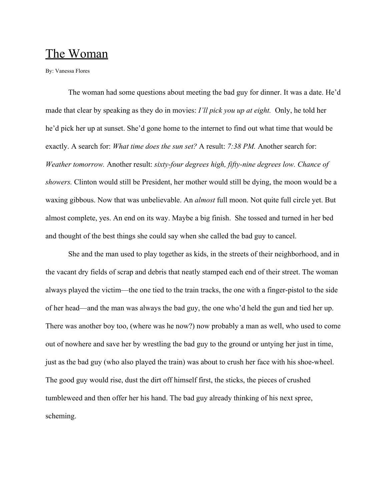## The Woman

By: Vanessa Flores

The woman had some questions about meeting the bad guy for dinner. It was a date. He'd made that clear by speaking as they do in movies: *I'll pick you up at eight.* Only, he told her he'd pick her up at sunset. She'd gone home to the internet to find out what time that would be exactly. A search for: *What time does the sun set?* A result: *7:38 PM.* Another search for: *Weather tomorrow.* Another result: *sixty-four degrees high, fifty-nine degrees low. Chance of showers.* Clinton would still be President, her mother would still be dying, the moon would be a waxing gibbous. Now that was unbelievable. An *almost* full moon. Not quite full circle yet. But almost complete, yes. An end on its way. Maybe a big finish. She tossed and turned in her bed and thought of the best things she could say when she called the bad guy to cancel.

She and the man used to play together as kids, in the streets of their neighborhood, and in the vacant dry fields of scrap and debris that neatly stamped each end of their street. The woman always played the victim—the one tied to the train tracks, the one with a finger-pistol to the side of her head—and the man was always the bad guy, the one who'd held the gun and tied her up. There was another boy too, (where was he now?) now probably a man as well, who used to come out of nowhere and save her by wrestling the bad guy to the ground or untying her just in time, just as the bad guy (who also played the train) was about to crush her face with his shoe-wheel. The good guy would rise, dust the dirt off himself first, the sticks, the pieces of crushed tumbleweed and then offer her his hand. The bad guy already thinking of his next spree, scheming.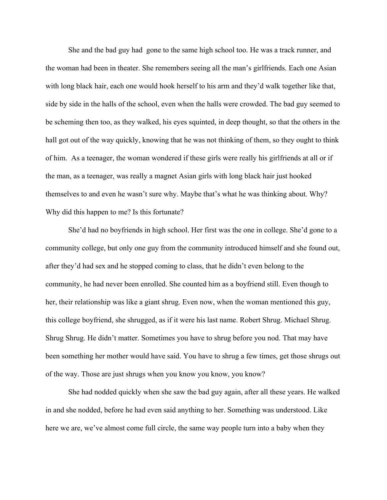She and the bad guy had gone to the same high school too. He was a track runner, and the woman had been in theater. She remembers seeing all the man's girlfriends. Each one Asian with long black hair, each one would hook herself to his arm and they'd walk together like that, side by side in the halls of the school, even when the halls were crowded. The bad guy seemed to be scheming then too, as they walked, his eyes squinted, in deep thought, so that the others in the hall got out of the way quickly, knowing that he was not thinking of them, so they ought to think of him. As a teenager, the woman wondered if these girls were really his girlfriends at all or if the man, as a teenager, was really a magnet Asian girls with long black hair just hooked themselves to and even he wasn't sure why. Maybe that's what he was thinking about. Why? Why did this happen to me? Is this fortunate?

She'd had no boyfriends in high school. Her first was the one in college. She'd gone to a community college, but only one guy from the community introduced himself and she found out, after they'd had sex and he stopped coming to class, that he didn't even belong to the community, he had never been enrolled. She counted him as a boyfriend still. Even though to her, their relationship was like a giant shrug. Even now, when the woman mentioned this guy, this college boyfriend, she shrugged, as if it were his last name. Robert Shrug. Michael Shrug. Shrug Shrug. He didn't matter. Sometimes you have to shrug before you nod. That may have been something her mother would have said. You have to shrug a few times, get those shrugs out of the way. Those are just shrugs when you know you know, you know?

She had nodded quickly when she saw the bad guy again, after all these years. He walked in and she nodded, before he had even said anything to her. Something was understood. Like here we are, we've almost come full circle, the same way people turn into a baby when they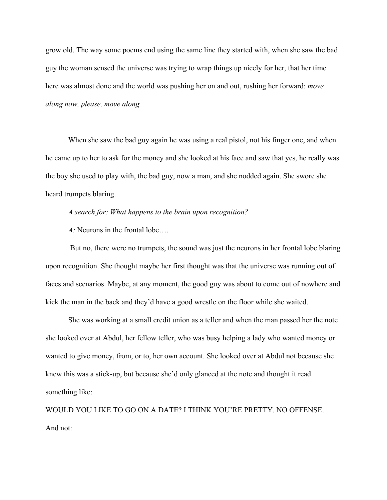grow old. The way some poems end using the same line they started with, when she saw the bad guy the woman sensed the universe was trying to wrap things up nicely for her, that her time here was almost done and the world was pushing her on and out, rushing her forward: *move along now, please, move along.*

When she saw the bad guy again he was using a real pistol, not his finger one, and when he came up to her to ask for the money and she looked at his face and saw that yes, he really was the boy she used to play with, the bad guy, now a man, and she nodded again. She swore she heard trumpets blaring.

*A search for: What happens to the brain upon recognition?*

*A:* Neurons in the frontal lobe….

 But no, there were no trumpets, the sound was just the neurons in her frontal lobe blaring upon recognition. She thought maybe her first thought was that the universe was running out of faces and scenarios. Maybe, at any moment, the good guy was about to come out of nowhere and kick the man in the back and they'd have a good wrestle on the floor while she waited.

She was working at a small credit union as a teller and when the man passed her the note she looked over at Abdul, her fellow teller, who was busy helping a lady who wanted money or wanted to give money, from, or to, her own account. She looked over at Abdul not because she knew this was a stick-up, but because she'd only glanced at the note and thought it read something like:

WOULD YOU LIKE TO GO ON A DATE? I THINK YOU'RE PRETTY. NO OFFENSE. And not: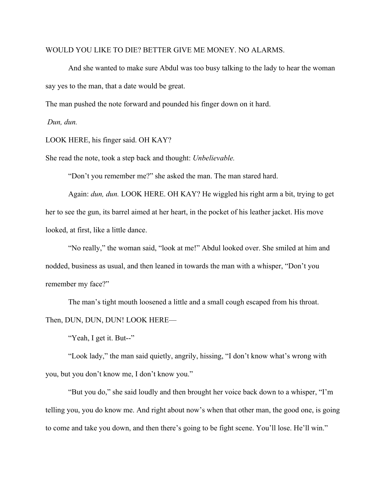## WOULD YOU LIKE TO DIE? BETTER GIVE ME MONEY. NO ALARMS.

And she wanted to make sure Abdul was too busy talking to the lady to hear the woman say yes to the man, that a date would be great.

The man pushed the note forward and pounded his finger down on it hard.

*Dun, dun.*

LOOK HERE, his finger said. OH KAY?

She read the note, took a step back and thought: *Unbelievable.*

"Don't you remember me?" she asked the man. The man stared hard.

Again: *dun, dun.* LOOK HERE. OH KAY? He wiggled his right arm a bit, trying to get her to see the gun, its barrel aimed at her heart, in the pocket of his leather jacket. His move looked, at first, like a little dance.

"No really," the woman said, "look at me!" Abdul looked over. She smiled at him and nodded, business as usual, and then leaned in towards the man with a whisper, "Don't you remember my face?"

The man's tight mouth loosened a little and a small cough escaped from his throat. Then, DUN, DUN, DUN! LOOK HERE—

"Yeah, I get it. But--"

"Look lady," the man said quietly, angrily, hissing, "I don't know what's wrong with you, but you don't know me, I don't know you."

"But you do," she said loudly and then brought her voice back down to a whisper, "I'm telling you, you do know me. And right about now's when that other man, the good one, is going to come and take you down, and then there's going to be fight scene. You'll lose. He'll win."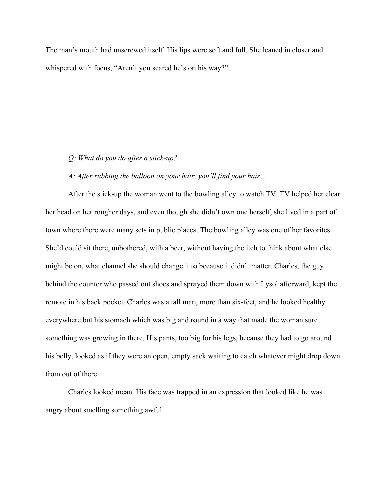The man's mouth had unscrewed itself. His lips were soft and full. She leaned in closer and whispered with focus, "Aren't you scared he's on his way?"

## *Q: What do you do after a stick-up?*

## *A: After rubbing the balloon on your hair, you'll find your hair…*

After the stick-up the woman went to the bowling alley to watch TV. TV helped her clear her head on her rougher days, and even though she didn't own one herself, she lived in a part of town where there were many sets in public places. The bowling alley was one of her favorites. She'd could sit there, unbothered, with a beer, without having the itch to think about what else might be on, what channel she should change it to because it didn't matter. Charles, the guy behind the counter who passed out shoes and sprayed them down with Lysol afterward, kept the remote in his back pocket. Charles was a tall man, more than six-feet, and he looked healthy everywhere but his stomach which was big and round in a way that made the woman sure something was growing in there. His pants, too big for his legs, because they had to go around his belly, looked as if they were an open, empty sack waiting to catch whatever might drop down from out of there.

Charles looked mean. His face was trapped in an expression that looked like he was angry about smelling something awful.